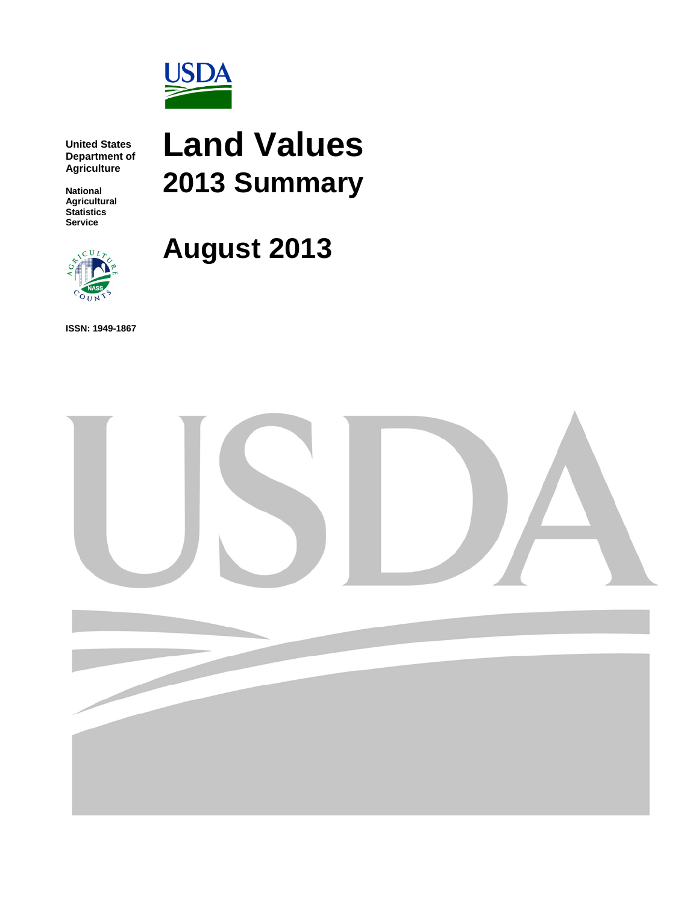

**United States Department of Agriculture**

**National Agricultural Statistics Service**



**ISSN: 1949-1867**

# **Land Values 2013 Summary**



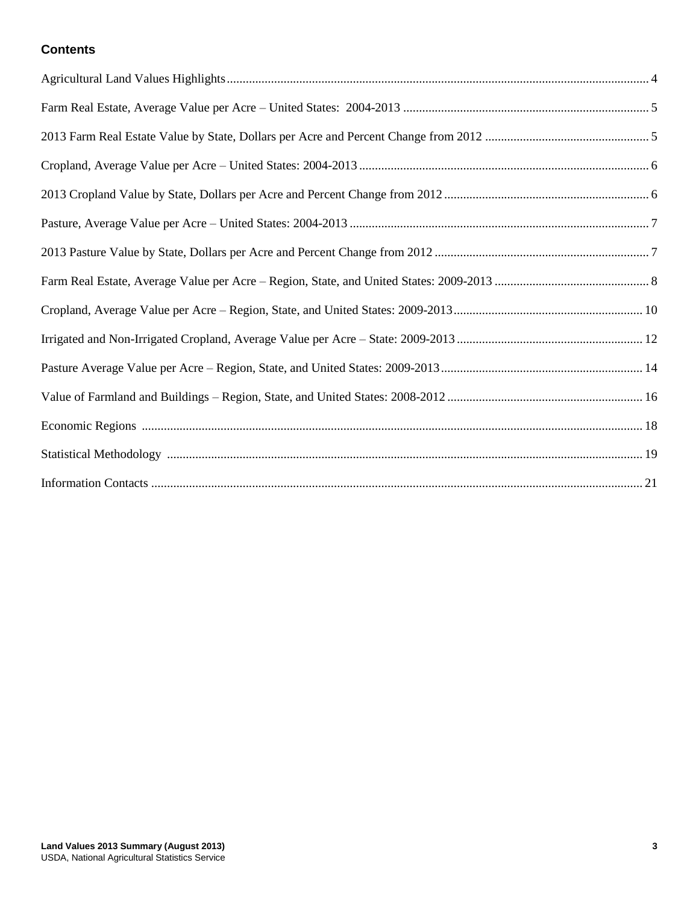## **Contents**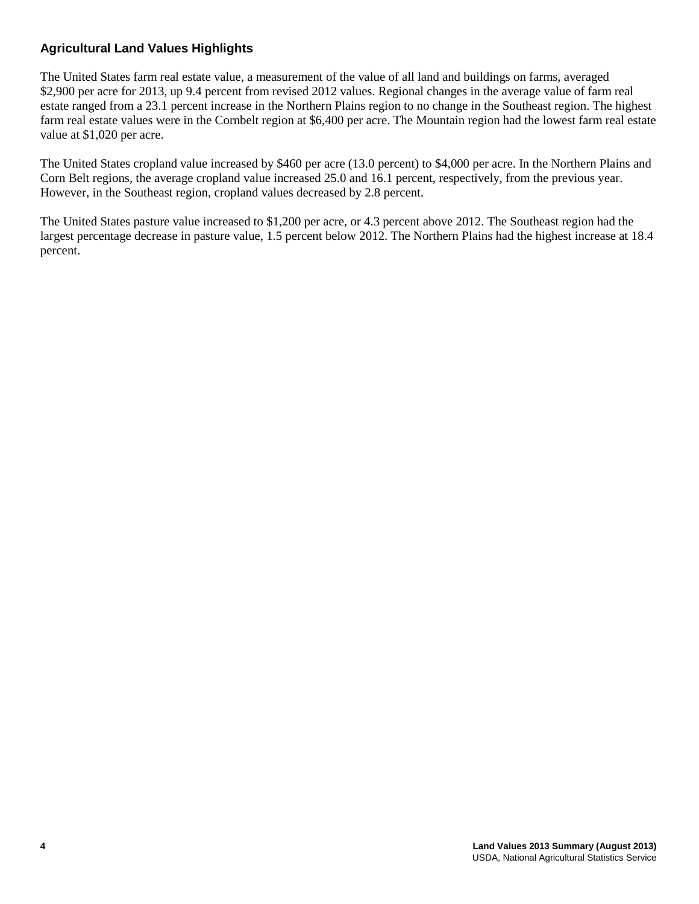## **Agricultural Land Values Highlights**

The United States farm real estate value, a measurement of the value of all land and buildings on farms, averaged \$2,900 per acre for 2013, up 9.4 percent from revised 2012 values. Regional changes in the average value of farm real estate ranged from a 23.1 percent increase in the Northern Plains region to no change in the Southeast region. The highest farm real estate values were in the Cornbelt region at \$6,400 per acre. The Mountain region had the lowest farm real estate value at \$1,020 per acre.

The United States cropland value increased by \$460 per acre (13.0 percent) to \$4,000 per acre. In the Northern Plains and Corn Belt regions, the average cropland value increased 25.0 and 16.1 percent, respectively, from the previous year. However, in the Southeast region, cropland values decreased by 2.8 percent.

The United States pasture value increased to \$1,200 per acre, or 4.3 percent above 2012. The Southeast region had the largest percentage decrease in pasture value, 1.5 percent below 2012. The Northern Plains had the highest increase at 18.4 percent.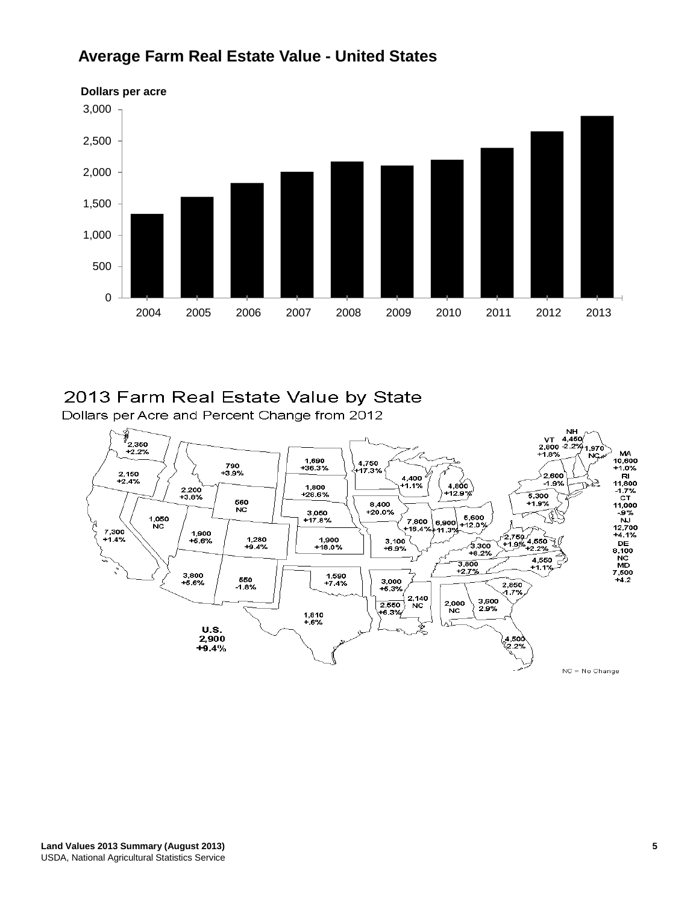# **Average Farm Real Estate Value - United States**



# 2013 Farm Real Estate Value by State

Dollars per Acre and Percent Change from 2012

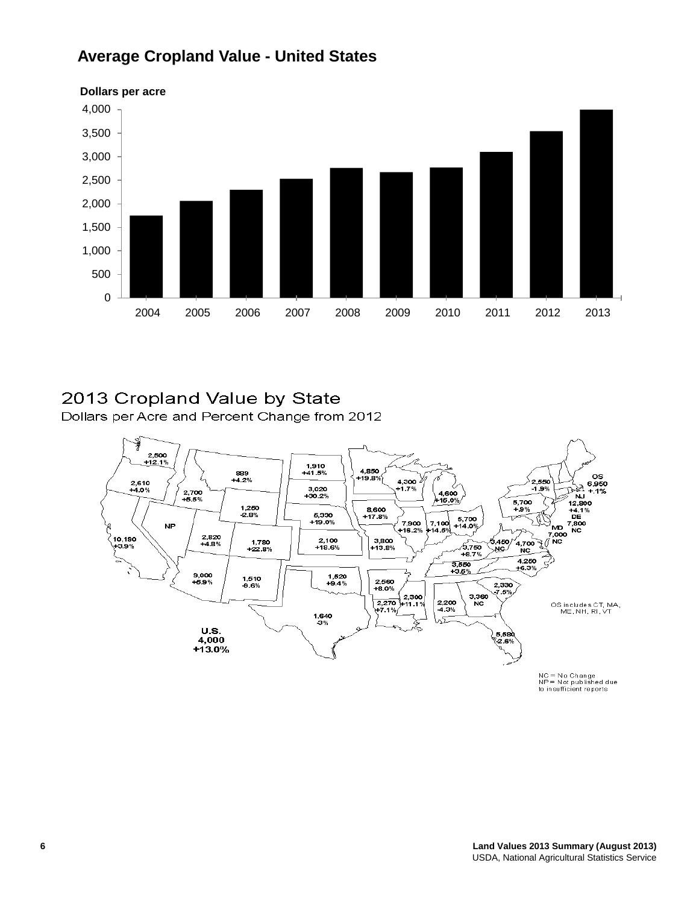



# 2013 Cropland Value by State

Dollars per Acre and Percent Change from 2012



NC = No Change<br>NP = Not published due<br>to insufficient reports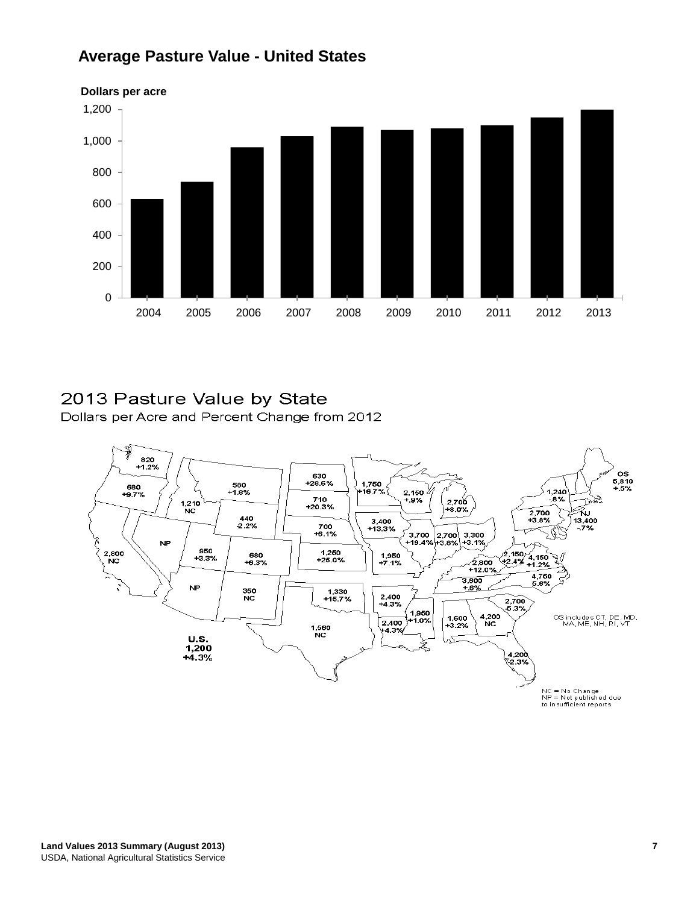# **Average Pasture Value - United States**



# 2013 Pasture Value by State

Dollars per Acre and Percent Change from 2012

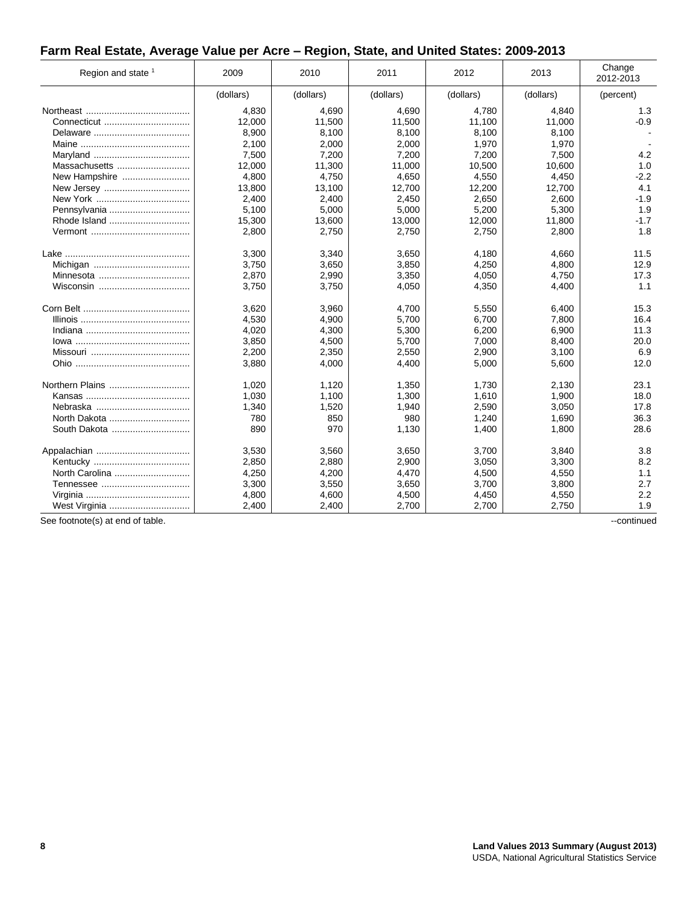#### **Farm Real Estate, Average Value per Acre – Region, State, and United States: 2009-2013**

| Region and state 1               | 2009      | 2010      | 2011      | 2012      | 2013      | Change<br>2012-2013 |
|----------------------------------|-----------|-----------|-----------|-----------|-----------|---------------------|
|                                  | (dollars) | (dollars) | (dollars) | (dollars) | (dollars) | (percent)           |
|                                  | 4,830     | 4,690     | 4,690     | 4,780     | 4,840     | 1.3                 |
| Connecticut                      | 12,000    | 11,500    | 11,500    | 11,100    | 11,000    | $-0.9$              |
|                                  | 8,900     | 8,100     | 8,100     | 8,100     | 8,100     |                     |
|                                  | 2,100     | 2,000     | 2,000     | 1,970     | 1,970     |                     |
|                                  | 7,500     | 7,200     | 7,200     | 7,200     | 7,500     | 4.2                 |
| Massachusetts                    | 12,000    | 11,300    | 11,000    | 10,500    | 10,600    | 1.0                 |
| New Hampshire                    | 4,800     | 4,750     | 4,650     | 4,550     | 4,450     | $-2.2$              |
| New Jersey                       | 13,800    | 13,100    | 12,700    | 12,200    | 12,700    | 4.1                 |
|                                  | 2,400     | 2,400     | 2,450     | 2,650     | 2,600     | $-1.9$              |
| Pennsylvania                     | 5,100     | 5,000     | 5,000     | 5,200     | 5,300     | 1.9                 |
|                                  | 15,300    | 13,600    | 13,000    | 12,000    | 11,800    | $-1.7$              |
|                                  | 2,800     | 2,750     | 2,750     | 2,750     | 2,800     | 1.8                 |
|                                  | 3,300     | 3,340     | 3,650     | 4,180     | 4,660     | 11.5                |
|                                  | 3.750     | 3,650     | 3,850     | 4,250     | 4,800     | 12.9                |
|                                  | 2,870     | 2,990     | 3,350     | 4,050     | 4,750     | 17.3                |
|                                  | 3,750     | 3,750     | 4,050     | 4,350     | 4.400     | 1.1                 |
|                                  | 3,620     | 3,960     | 4,700     | 5,550     | 6,400     | 15.3                |
|                                  | 4,530     | 4,900     | 5,700     | 6,700     | 7,800     | 16.4                |
|                                  | 4,020     | 4,300     | 5,300     | 6,200     | 6,900     | 11.3                |
|                                  | 3,850     | 4,500     | 5,700     | 7,000     | 8,400     | 20.0                |
|                                  | 2,200     | 2,350     | 2,550     | 2,900     | 3,100     | 6.9                 |
|                                  | 3,880     | 4,000     | 4,400     | 5,000     | 5,600     | 12.0                |
| Northern Plains                  | 1,020     | 1,120     | 1,350     | 1,730     | 2,130     | 23.1                |
|                                  | 1,030     | 1,100     | 1,300     | 1,610     | 1,900     | 18.0                |
|                                  | 1,340     | 1,520     | 1,940     | 2,590     | 3,050     | 17.8                |
| North Dakota                     | 780       | 850       | 980       | 1,240     | 1,690     | 36.3                |
| South Dakota                     | 890       | 970       | 1,130     | 1,400     | 1,800     | 28.6                |
|                                  | 3,530     | 3,560     | 3,650     | 3,700     | 3,840     | 3.8                 |
|                                  | 2,850     | 2,880     | 2,900     | 3,050     | 3,300     | 8.2                 |
| North Carolina                   | 4,250     | 4,200     | 4,470     | 4,500     | 4,550     | 1.1                 |
|                                  | 3,300     | 3,550     | 3,650     | 3,700     | 3,800     | 2.7                 |
|                                  | 4,800     | 4,600     | 4,500     | 4,450     | 4,550     | 2.2                 |
|                                  | 2,400     | 2,400     | 2,700     | 2,700     | 2,750     | 1.9                 |
| See footnote(s) at end of table. |           |           |           |           |           | --continued         |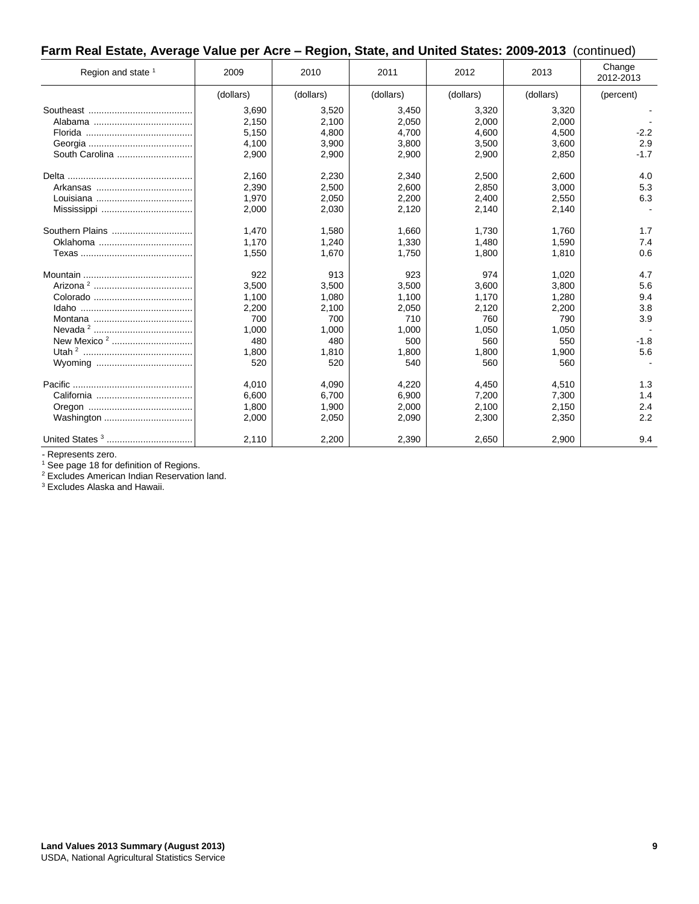#### **Farm Real Estate, Average Value per Acre – Region, State, and United States: 2009-2013** (continued)

| Region and state 1 | 2009      | 2010      | 2011      | 2012      | 2013      | Change<br>2012-2013 |
|--------------------|-----------|-----------|-----------|-----------|-----------|---------------------|
|                    | (dollars) | (dollars) | (dollars) | (dollars) | (dollars) | (percent)           |
|                    | 3,690     | 3,520     | 3,450     | 3,320     | 3,320     |                     |
|                    | 2,150     | 2,100     | 2,050     | 2,000     | 2,000     |                     |
|                    | 5,150     | 4,800     | 4,700     | 4,600     | 4,500     | $-2.2$              |
|                    | 4,100     | 3,900     | 3,800     | 3,500     | 3,600     | 2.9                 |
| South Carolina     | 2,900     | 2,900     | 2,900     | 2,900     | 2,850     | $-1.7$              |
|                    | 2,160     | 2,230     | 2,340     | 2,500     | 2,600     | 4.0                 |
|                    | 2.390     | 2,500     | 2,600     | 2,850     | 3,000     | 5.3                 |
|                    | 1,970     | 2,050     | 2,200     | 2,400     | 2,550     | 6.3                 |
|                    | 2,000     | 2,030     | 2,120     | 2,140     | 2,140     |                     |
| Southern Plains    | 1.470     | 1.580     | 1.660     | 1.730     | 1.760     | 1.7                 |
|                    | 1,170     | 1,240     | 1,330     | 1,480     | 1,590     | 7.4                 |
|                    | 1,550     | 1,670     | 1,750     | 1,800     | 1,810     | 0.6                 |
|                    | 922       | 913       | 923       | 974       | 1,020     | 4.7                 |
|                    | 3,500     | 3,500     | 3,500     | 3,600     | 3,800     | 5.6                 |
|                    | 1,100     | 1,080     | 1,100     | 1,170     | 1,280     | 9.4                 |
|                    | 2,200     | 2,100     | 2,050     | 2,120     | 2,200     | 3.8                 |
|                    | 700       | 700       | 710       | 760       | 790       | 3.9                 |
|                    | 1,000     | 1.000     | 1,000     | 1,050     | 1.050     |                     |
|                    | 480       | 480       | 500       | 560       | 550       | $-1.8$              |
|                    | 1.800     | 1,810     | 1.800     | 1,800     | 1,900     | 5.6                 |
|                    | 520       | 520       | 540       | 560       | 560       |                     |
|                    | 4.010     | 4,090     | 4,220     | 4,450     | 4,510     | 1.3                 |
|                    | 6,600     | 6,700     | 6,900     | 7,200     | 7,300     | 1.4                 |
|                    | 1,800     | 1,900     | 2,000     | 2,100     | 2,150     | 2.4                 |
|                    | 2,000     | 2,050     | 2,090     | 2,300     | 2,350     | 2.2                 |
|                    | 2,110     | 2,200     | 2,390     | 2,650     | 2,900     | 9.4                 |

- Represents zero.

<sup>1</sup> See page 18 for definition of Regions.

<sup>2</sup> Excludes American Indian Reservation land.

<sup>3</sup> Excludes Alaska and Hawaii.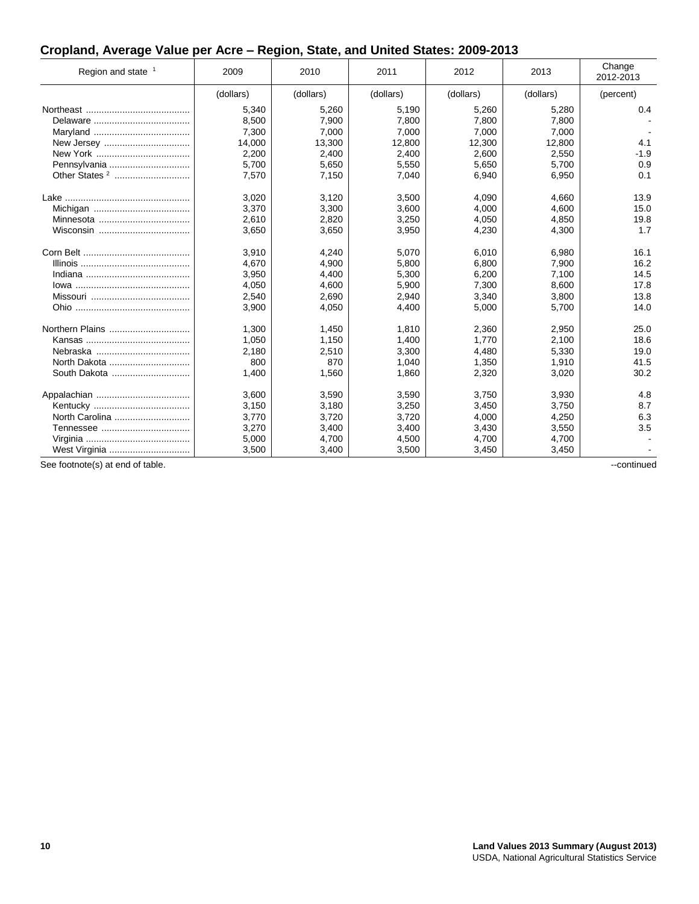## **Cropland, Average Value per Acre – Region, State, and United States: 2009-2013**

| Region and state 1                                                                          | 2009      | 2010      | 2011      | 2012      | 2013      | Change<br>2012-2013 |
|---------------------------------------------------------------------------------------------|-----------|-----------|-----------|-----------|-----------|---------------------|
|                                                                                             | (dollars) | (dollars) | (dollars) | (dollars) | (dollars) | (percent)           |
|                                                                                             | 5,340     | 5,260     | 5,190     | 5,260     | 5,280     | 0.4                 |
|                                                                                             | 8,500     | 7,900     | 7,800     | 7,800     | 7,800     |                     |
|                                                                                             | 7,300     | 7,000     | 7,000     | 7,000     | 7,000     |                     |
| New Jersey                                                                                  | 14,000    | 13,300    | 12,800    | 12,300    | 12,800    | 4.1                 |
|                                                                                             | 2,200     | 2,400     | 2,400     | 2,600     | 2,550     | $-1.9$              |
| Pennsylvania                                                                                | 5,700     | 5,650     | 5,550     | 5,650     | 5,700     | 0.9                 |
| Other States <sup>2</sup>                                                                   | 7,570     | 7,150     | 7,040     | 6,940     | 6,950     | 0.1                 |
|                                                                                             | 3.020     | 3.120     | 3.500     | 4.090     | 4.660     | 13.9                |
|                                                                                             | 3,370     | 3,300     | 3,600     | 4.000     | 4.600     | 15.0                |
|                                                                                             | 2,610     | 2,820     | 3,250     | 4,050     | 4,850     | 19.8                |
|                                                                                             | 3,650     | 3,650     | 3,950     | 4,230     | 4,300     | 1.7                 |
|                                                                                             | 3,910     | 4,240     | 5,070     | 6,010     | 6,980     | 16.1                |
| $\mathsf{III}$ nois $\ldots \ldots \ldots \ldots \ldots \ldots \ldots \ldots \ldots \ldots$ | 4,670     | 4,900     | 5,800     | 6,800     | 7,900     | 16.2                |
|                                                                                             | 3.950     | 4.400     | 5,300     | 6,200     | 7,100     | 14.5                |
|                                                                                             | 4,050     | 4,600     | 5,900     | 7,300     | 8,600     | 17.8                |
|                                                                                             | 2,540     | 2,690     | 2,940     | 3,340     | 3,800     | 13.8                |
|                                                                                             | 3,900     | 4,050     | 4,400     | 5,000     | 5,700     | 14.0                |
| Northern Plains                                                                             | 1,300     | 1,450     | 1,810     | 2,360     | 2,950     | 25.0                |
|                                                                                             | 1,050     | 1,150     | 1,400     | 1,770     | 2,100     | 18.6                |
|                                                                                             | 2,180     | 2,510     | 3,300     | 4,480     | 5,330     | 19.0                |
| North Dakota                                                                                | 800       | 870       | 1,040     | 1,350     | 1,910     | 41.5                |
| South Dakota                                                                                | 1,400     | 1,560     | 1,860     | 2,320     | 3,020     | 30.2                |
|                                                                                             | 3,600     | 3,590     | 3,590     | 3,750     | 3,930     | 4.8                 |
|                                                                                             | 3,150     | 3,180     | 3,250     | 3,450     | 3,750     | 8.7                 |
| North Carolina                                                                              | 3,770     | 3,720     | 3,720     | 4,000     | 4,250     | 6.3                 |
|                                                                                             | 3,270     | 3,400     | 3,400     | 3,430     | 3,550     | 3.5                 |
|                                                                                             | 5,000     | 4,700     | 4,500     | 4,700     | 4,700     |                     |
| West Virginia                                                                               | 3,500     | 3,400     | 3,500     | 3,450     | 3,450     |                     |
| See footnote(s) at end of table.                                                            |           |           |           |           |           | --continued         |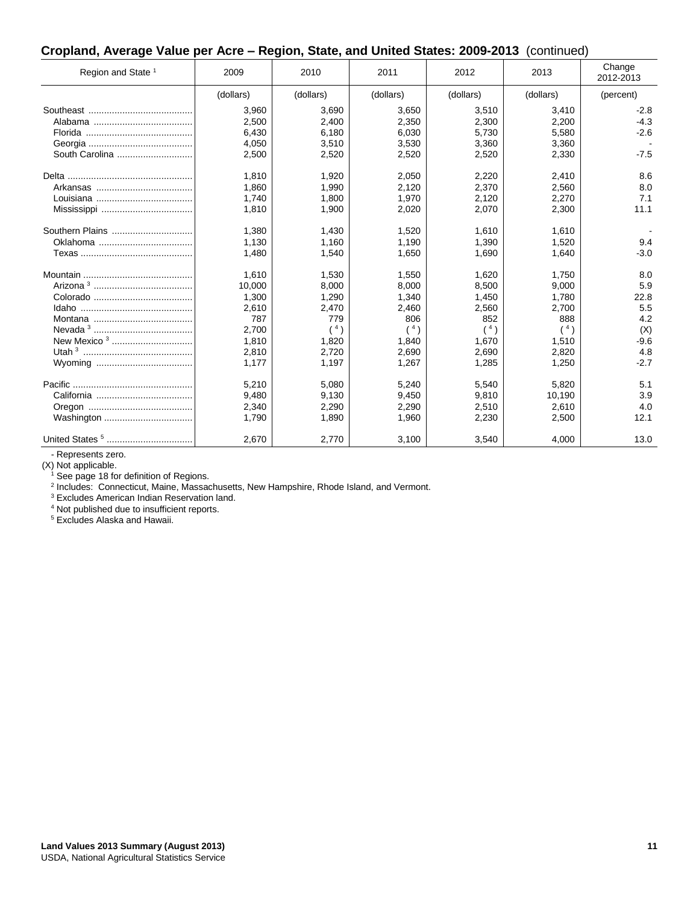#### **Cropland, Average Value per Acre – Region, State, and United States: 2009-2013** (continued)

| Region and State <sup>1</sup> | 2009      | 2010      | 2011      | 2012      | 2013           | Change<br>2012-2013 |
|-------------------------------|-----------|-----------|-----------|-----------|----------------|---------------------|
|                               | (dollars) | (dollars) | (dollars) | (dollars) | (dollars)      | (percent)           |
|                               | 3,960     | 3,690     | 3,650     | 3,510     | 3,410          | $-2.8$              |
|                               | 2,500     | 2,400     | 2,350     | 2,300     | 2,200          | $-4.3$              |
|                               | 6,430     | 6,180     | 6,030     | 5,730     | 5,580          | $-2.6$              |
|                               | 4,050     | 3,510     | 3,530     | 3,360     | 3,360          |                     |
| South Carolina                | 2,500     | 2,520     | 2,520     | 2,520     | 2,330          | $-7.5$              |
|                               | 1,810     | 1,920     | 2,050     | 2,220     | 2,410          | 8.6                 |
|                               | 1,860     | 1,990     | 2,120     | 2,370     | 2,560          | 8.0                 |
|                               | 1.740     | 1,800     | 1,970     | 2,120     | 2,270          | 7.1                 |
|                               | 1.810     | 1,900     | 2,020     | 2,070     | 2,300          | 11.1                |
| Southern Plains               | 1,380     | 1,430     | 1,520     | 1,610     | 1,610          |                     |
|                               | 1,130     | 1,160     | 1,190     | 1,390     | 1,520          | 9.4                 |
|                               | 1,480     | 1,540     | 1,650     | 1,690     | 1.640          | $-3.0$              |
|                               | 1,610     | 1,530     | 1,550     | 1,620     | 1,750          | 8.0                 |
|                               | 10,000    | 8,000     | 8,000     | 8,500     | 9,000          | 5.9                 |
|                               | 1,300     | 1,290     | 1,340     | 1,450     | 1,780          | 22.8                |
|                               | 2,610     | 2,470     | 2,460     | 2,560     | 2.700          | 5.5                 |
|                               | 787       | 779       | 806       | 852       | 888            | 4.2                 |
|                               | 2,700     | (4)       | $(^{4})$  | (4)       | $^{\prime}$ 4) | (X)                 |
| New Mexico <sup>3</sup>       | 1,810     | 1,820     | 1,840     | 1,670     | 1,510          | $-9.6$              |
|                               | 2,810     | 2,720     | 2,690     | 2,690     | 2,820          | 4.8                 |
|                               | 1.177     | 1.197     | 1,267     | 1,285     | 1.250          | $-2.7$              |
|                               | 5,210     | 5,080     | 5,240     | 5,540     | 5,820          | 5.1                 |
|                               | 9,480     | 9,130     | 9,450     | 9,810     | 10,190         | 3.9                 |
|                               | 2.340     | 2,290     | 2,290     | 2,510     | 2.610          | 4.0                 |
| Washington                    | 1,790     | 1,890     | 1,960     | 2,230     | 2,500          | 12.1                |
|                               | 2,670     | 2,770     | 3,100     | 3,540     | 4,000          | 13.0                |

- Represents zero.

(X) Not applicable.

 $1$  See page 18 for definition of Regions.

<sup>2</sup> Includes: Connecticut, Maine, Massachusetts, New Hampshire, Rhode Island, and Vermont.

<sup>3</sup> Excludes American Indian Reservation land.

<sup>4</sup> Not published due to insufficient reports.

<sup>5</sup> Excludes Alaska and Hawaii.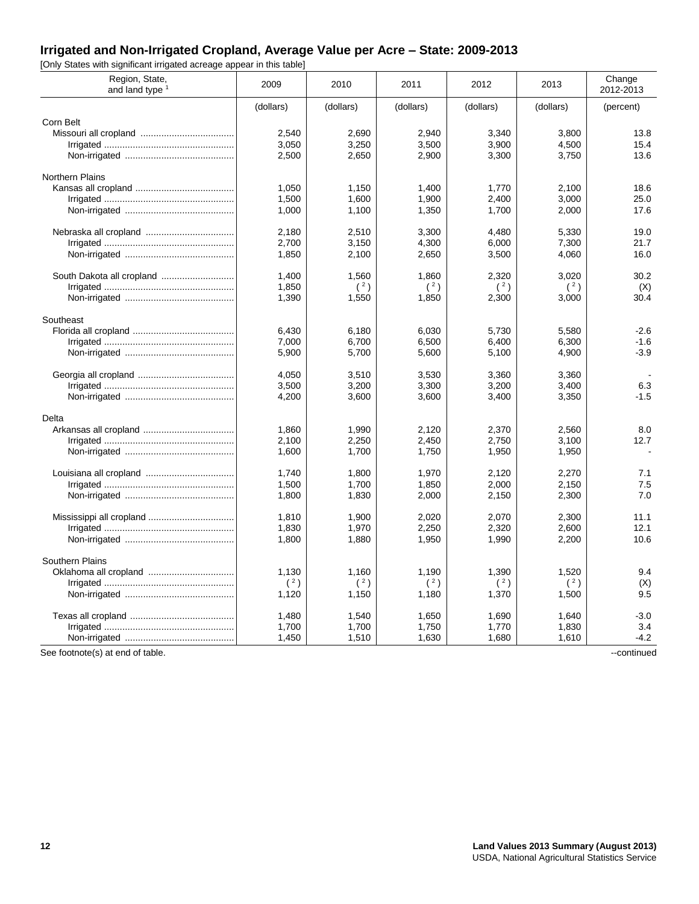#### **Irrigated and Non-Irrigated Cropland, Average Value per Acre – State: 2009-2013**

[Only States with significant irrigated acreage appear in this table]

| Region, State,<br>and land type 1 | 2009                    | 2010                    | 2011                    | 2012                    | 2013                    | Change<br>2012-2013      |
|-----------------------------------|-------------------------|-------------------------|-------------------------|-------------------------|-------------------------|--------------------------|
|                                   | (dollars)               | (dollars)               | (dollars)               | (dollars)               | (dollars)               | (percent)                |
| Corn Belt                         | 2.540<br>3,050<br>2,500 | 2,690<br>3,250<br>2,650 | 2,940<br>3,500<br>2,900 | 3,340<br>3,900<br>3,300 | 3.800<br>4,500<br>3,750 | 13.8<br>15.4<br>13.6     |
| <b>Northern Plains</b>            | 1,050<br>1,500<br>1,000 | 1,150<br>1,600<br>1,100 | 1,400<br>1,900<br>1,350 | 1,770<br>2,400<br>1,700 | 2,100<br>3,000<br>2,000 | 18.6<br>25.0<br>17.6     |
|                                   | 2.180<br>2,700<br>1,850 | 2,510<br>3,150<br>2,100 | 3,300<br>4,300<br>2,650 | 4,480<br>6,000<br>3,500 | 5,330<br>7,300<br>4,060 | 19.0<br>21.7<br>16.0     |
|                                   | 1,400<br>1,850<br>1,390 | 1,560<br>(2)<br>1,550   | 1,860<br>(2)<br>1,850   | 2,320<br>(2)<br>2,300   | 3,020<br>(2)<br>3,000   | 30.2<br>(X)<br>30.4      |
| Southeast                         | 6,430<br>7,000<br>5,900 | 6,180<br>6,700<br>5,700 | 6,030<br>6,500<br>5,600 | 5,730<br>6,400<br>5,100 | 5,580<br>6,300<br>4,900 | -2.6<br>$-1.6$<br>$-3.9$ |
|                                   | 4,050<br>3,500<br>4,200 | 3,510<br>3,200<br>3,600 | 3,530<br>3,300<br>3,600 | 3,360<br>3,200<br>3,400 | 3,360<br>3,400<br>3,350 | 6.3<br>$-1.5$            |
| Delta                             | 1,860<br>2,100<br>1,600 | 1,990<br>2,250<br>1,700 | 2,120<br>2,450<br>1,750 | 2,370<br>2,750<br>1,950 | 2,560<br>3,100<br>1,950 | 8.0<br>12.7              |
|                                   | 1,740<br>1,500<br>1,800 | 1,800<br>1,700<br>1,830 | 1,970<br>1,850<br>2,000 | 2,120<br>2,000<br>2,150 | 2,270<br>2,150<br>2,300 | 7.1<br>7.5<br>7.0        |
|                                   | 1.810<br>1,830<br>1,800 | 1,900<br>1,970<br>1,880 | 2,020<br>2,250<br>1,950 | 2,070<br>2,320<br>1,990 | 2,300<br>2,600<br>2,200 | 11.1<br>12.1<br>10.6     |
| Southern Plains                   | 1,130<br>2)<br>1,120    | 1,160<br>(2)<br>1,150   | 1,190<br>(2)<br>1,180   | 1,390<br>(2)<br>1,370   | 1,520<br>(2)<br>1,500   | 9.4<br>(X)<br>9.5        |
|                                   | 1,480<br>1,700<br>1,450 | 1,540<br>1,700<br>1,510 | 1,650<br>1,750<br>1,630 | 1.690<br>1,770<br>1,680 | 1.640<br>1,830<br>1,610 | $-3.0$<br>3.4<br>$-4.2$  |

See footnote(s) at end of table.  $\blacksquare$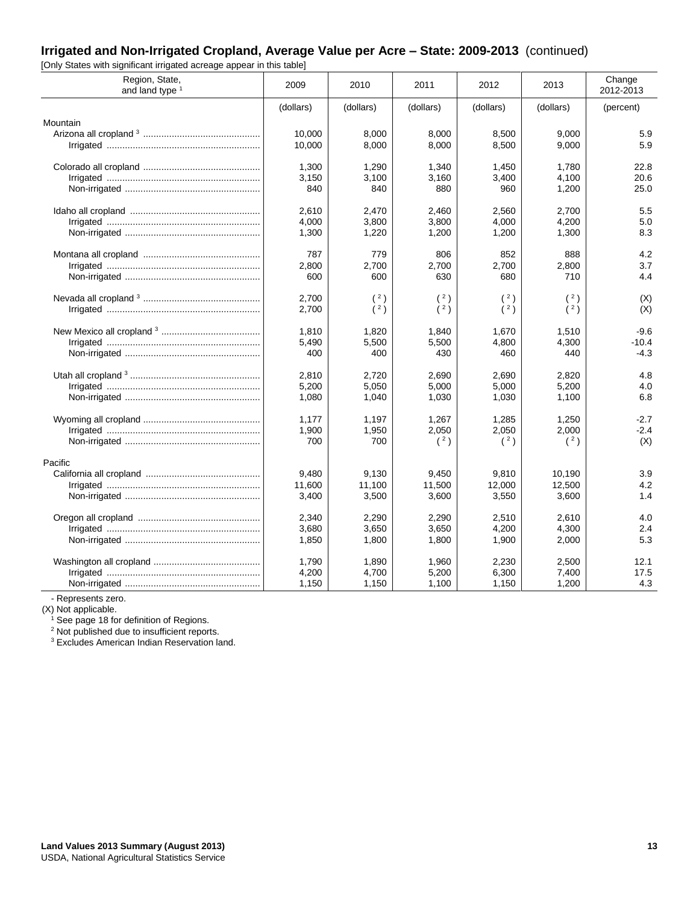## **Irrigated and Non-Irrigated Cropland, Average Value per Acre – State: 2009-2013** (continued)

[Only States with significant irrigated acreage appear in this table]

| Region, State,<br>and land type | 2009      | 2010      | 2011      | 2012      | 2013      | Change<br>2012-2013 |
|---------------------------------|-----------|-----------|-----------|-----------|-----------|---------------------|
|                                 | (dollars) | (dollars) | (dollars) | (dollars) | (dollars) | (percent)           |
| Mountain                        |           |           |           |           |           |                     |
|                                 | 10,000    | 8,000     | 8,000     | 8,500     | 9,000     | 5.9                 |
|                                 | 10,000    | 8,000     | 8,000     | 8,500     | 9,000     | 5.9                 |
|                                 | 1,300     | 1,290     | 1,340     | 1,450     | 1.780     | 22.8                |
|                                 | 3,150     | 3,100     | 3,160     | 3,400     | 4,100     | 20.6                |
|                                 | 840       | 840       | 880       | 960       | 1,200     | 25.0                |
|                                 | 2,610     | 2,470     | 2,460     | 2,560     | 2,700     | 5.5                 |
|                                 | 4.000     | 3,800     | 3,800     | 4.000     | 4,200     | 5.0                 |
|                                 | 1,300     | 1,220     | 1,200     | 1,200     | 1,300     | 8.3                 |
|                                 | 787       | 779       | 806       | 852       | 888       | 4.2                 |
|                                 | 2,800     | 2,700     | 2,700     | 2,700     | 2,800     | 3.7                 |
|                                 | 600       | 600       | 630       | 680       | 710       | 4.4                 |
|                                 | 2.700     | (2)       | (2)       | (2)       | (2)       | (X)                 |
|                                 | 2,700     | (2)       | (2)       | (2)       | (2)       | (X)                 |
|                                 | 1,810     | 1,820     | 1,840     | 1,670     | 1,510     | $-9.6$              |
|                                 | 5,490     | 5,500     | 5,500     | 4,800     | 4,300     | $-10.4$             |
|                                 | 400       | 400       | 430       | 460       | 440       | $-4.3$              |
|                                 | 2,810     | 2.720     | 2,690     | 2.690     | 2,820     | 4.8                 |
|                                 | 5,200     | 5,050     | 5,000     | 5,000     | 5,200     | 4.0                 |
|                                 | 1,080     | 1,040     | 1,030     | 1,030     | 1,100     | 6.8                 |
|                                 | 1,177     | 1,197     | 1,267     | 1,285     | 1,250     | $-2.7$              |
|                                 | 1,900     | 1,950     | 2,050     | 2,050     | 2,000     | $-2.4$              |
|                                 | 700       | 700       | (2)       | (2)       | (2)       | (X)                 |
| Pacific                         |           |           |           |           |           |                     |
|                                 | 9,480     | 9,130     | 9.450     | 9,810     | 10,190    | 3.9                 |
|                                 | 11,600    | 11,100    | 11,500    | 12,000    | 12,500    | 4.2                 |
|                                 | 3,400     | 3,500     | 3,600     | 3,550     | 3,600     | 1.4                 |
|                                 | 2,340     | 2,290     | 2,290     | 2,510     | 2,610     | 4.0                 |
|                                 | 3,680     | 3,650     | 3,650     | 4,200     | 4,300     | 2.4                 |
|                                 | 1,850     | 1,800     | 1,800     | 1,900     | 2,000     | 5.3                 |
|                                 | 1,790     | 1,890     | 1,960     | 2,230     | 2,500     | 12.1                |
|                                 | 4,200     | 4,700     | 5,200     | 6,300     | 7,400     | 17.5                |
|                                 | 1,150     | 1,150     | 1,100     | 1,150     | 1,200     | 4.3                 |

- Represents zero.

(X) Not applicable.

<sup>1</sup> See page 18 for definition of Regions.

<sup>2</sup> Not published due to insufficient reports.

<sup>3</sup> Excludes American Indian Reservation land.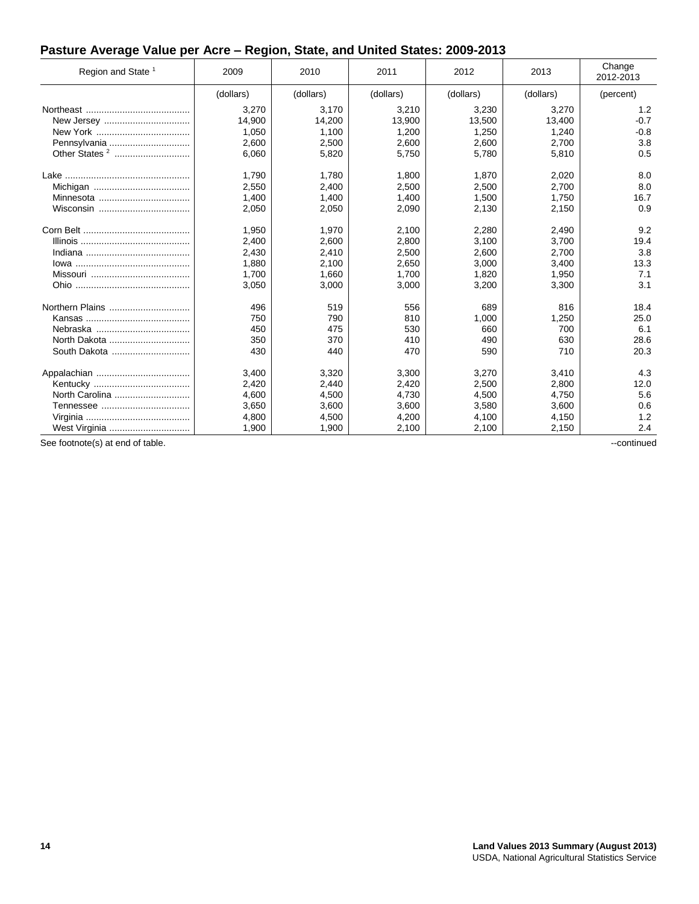## **Pasture Average Value per Acre – Region, State, and United States: 2009-2013**

| Region and State <sup>1</sup> | 2009      | 2010      | 2011      | 2012      | 2013      | Change<br>2012-2013 |
|-------------------------------|-----------|-----------|-----------|-----------|-----------|---------------------|
|                               | (dollars) | (dollars) | (dollars) | (dollars) | (dollars) | (percent)           |
|                               | 3,270     | 3,170     | 3,210     | 3,230     | 3,270     | 1.2                 |
| New Jersey                    | 14,900    | 14,200    | 13,900    | 13,500    | 13,400    | $-0.7$              |
|                               | 1,050     | 1.100     | 1,200     | 1,250     | 1,240     | $-0.8$              |
| Pennsylvania                  | 2,600     | 2,500     | 2,600     | 2,600     | 2,700     | 3.8                 |
|                               | 6,060     | 5,820     | 5,750     | 5,780     | 5,810     | 0.5                 |
|                               | 1,790     | 1,780     | 1,800     | 1,870     | 2,020     | 8.0                 |
|                               | 2,550     | 2,400     | 2,500     | 2,500     | 2,700     | 8.0                 |
|                               | 1,400     | 1,400     | 1,400     | 1,500     | 1,750     | 16.7                |
|                               | 2,050     | 2,050     | 2,090     | 2,130     | 2,150     | 0.9                 |
|                               | 1,950     | 1,970     | 2,100     | 2,280     | 2,490     | 9.2                 |
|                               | 2,400     | 2,600     | 2,800     | 3,100     | 3,700     | 19.4                |
|                               | 2,430     | 2,410     | 2,500     | 2,600     | 2,700     | 3.8                 |
|                               | 1,880     | 2,100     | 2,650     | 3,000     | 3,400     | 13.3                |
|                               | 1.700     | 1,660     | 1.700     | 1.820     | 1,950     | 7.1                 |
|                               | 3,050     | 3,000     | 3,000     | 3,200     | 3,300     | 3.1                 |
| Northern Plains               | 496       | 519       | 556       | 689       | 816       | 18.4                |
|                               | 750       | 790       | 810       | 1,000     | 1,250     | 25.0                |
|                               | 450       | 475       | 530       | 660       | 700       | 6.1                 |
| North Dakota                  | 350       | 370       | 410       | 490       | 630       | 28.6                |
| South Dakota                  | 430       | 440       | 470       | 590       | 710       | 20.3                |
|                               | 3,400     | 3,320     | 3,300     | 3,270     | 3,410     | 4.3                 |
|                               | 2,420     | 2,440     | 2,420     | 2,500     | 2,800     | 12.0                |
| North Carolina                | 4.600     | 4,500     | 4,730     | 4,500     | 4,750     | 5.6                 |
|                               | 3,650     | 3,600     | 3,600     | 3,580     | 3,600     | 0.6                 |
|                               | 4,800     | 4,500     | 4,200     | 4,100     | 4,150     | 1.2                 |
| West Virginia                 | 1,900     | 1,900     | 2,100     | 2,100     | 2,150     | 2.4                 |

See footnote(s) at end of table. The set of table.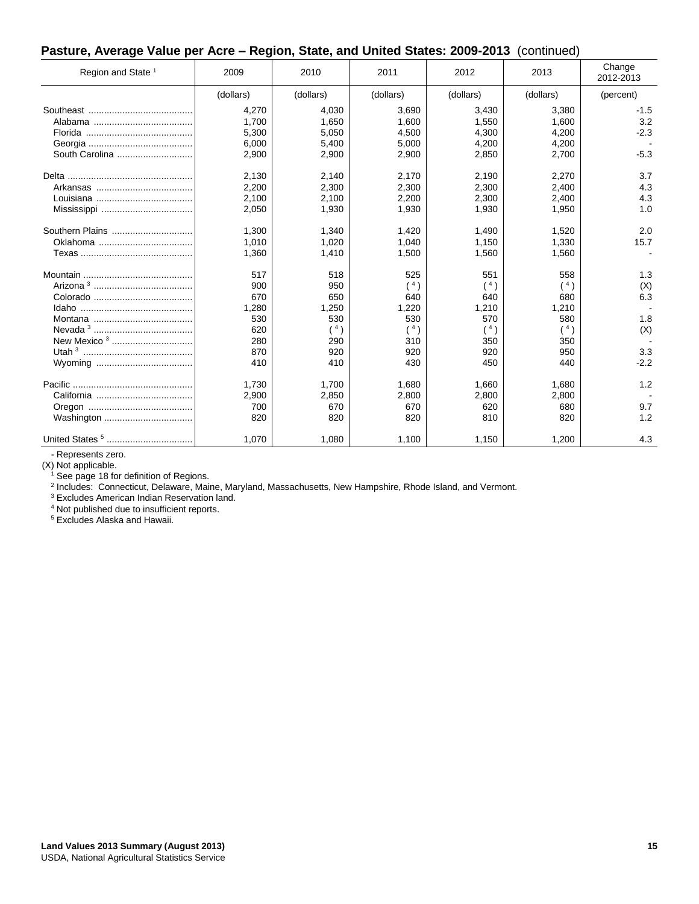#### **Pasture, Average Value per Acre – Region, State, and United States: 2009-2013** (continued)

| Region and State <sup>1</sup> | 2009      | 2010      | 2011      | 2012      | 2013      | Change<br>2012-2013 |
|-------------------------------|-----------|-----------|-----------|-----------|-----------|---------------------|
|                               | (dollars) | (dollars) | (dollars) | (dollars) | (dollars) | (percent)           |
|                               | 4,270     | 4,030     | 3,690     | 3,430     | 3,380     | $-1.5$              |
|                               | 1.700     | 1.650     | 1.600     | 1,550     | 1.600     | 3.2                 |
|                               | 5,300     | 5,050     | 4,500     | 4.300     | 4.200     | $-2.3$              |
|                               | 6,000     | 5,400     | 5,000     | 4,200     | 4,200     |                     |
| South Carolina                | 2,900     | 2,900     | 2,900     | 2,850     | 2,700     | $-5.3$              |
|                               | 2,130     | 2,140     | 2,170     | 2,190     | 2,270     | 3.7                 |
|                               | 2,200     | 2,300     | 2,300     | 2,300     | 2,400     | 4.3                 |
|                               | 2,100     | 2,100     | 2,200     | 2,300     | 2,400     | 4.3                 |
|                               | 2,050     | 1,930     | 1,930     | 1,930     | 1,950     | 1.0                 |
| Southern Plains               | 1,300     | 1,340     | 1,420     | 1,490     | 1,520     | 2.0                 |
|                               | 1.010     | 1,020     | 1,040     | 1,150     | 1,330     | 15.7                |
|                               | 1,360     | 1,410     | 1,500     | 1,560     | 1,560     |                     |
|                               | 517       | 518       | 525       | 551       | 558       | 1.3                 |
|                               | 900       | 950       | (4)       | (4)       | (4)       | (X)                 |
|                               | 670       | 650       | 640       | 640       | 680       | 6.3                 |
|                               | 1,280     | 1,250     | 1.220     | 1,210     | 1,210     |                     |
|                               | 530       | 530       | 530       | 570       | 580       | 1.8                 |
|                               | 620       | (4)       | (4)       | (4)       | (4)       | (X)                 |
|                               | 280       | 290       | 310       | 350       | 350       |                     |
|                               | 870       | 920       | 920       | 920       | 950       | 3.3                 |
|                               | 410       | 410       | 430       | 450       | 440       | $-2.2$              |
|                               | 1,730     | 1,700     | 1,680     | 1,660     | 1,680     | 1.2                 |
|                               | 2,900     | 2,850     | 2,800     | 2,800     | 2,800     |                     |
|                               | 700       | 670       | 670       | 620       | 680       | 9.7                 |
|                               | 820       | 820       | 820       | 810       | 820       | 1.2                 |
|                               | 1,070     | 1,080     | 1,100     | 1,150     | 1,200     | 4.3                 |

- Represents zero.

(X) Not applicable.

 $1$  See page 18 for definition of Regions.

<sup>2</sup> Includes: Connecticut, Delaware, Maine, Maryland, Massachusetts, New Hampshire, Rhode Island, and Vermont.

<sup>3</sup> Excludes American Indian Reservation land.

<sup>4</sup> Not published due to insufficient reports.

<sup>5</sup> Excludes Alaska and Hawaii.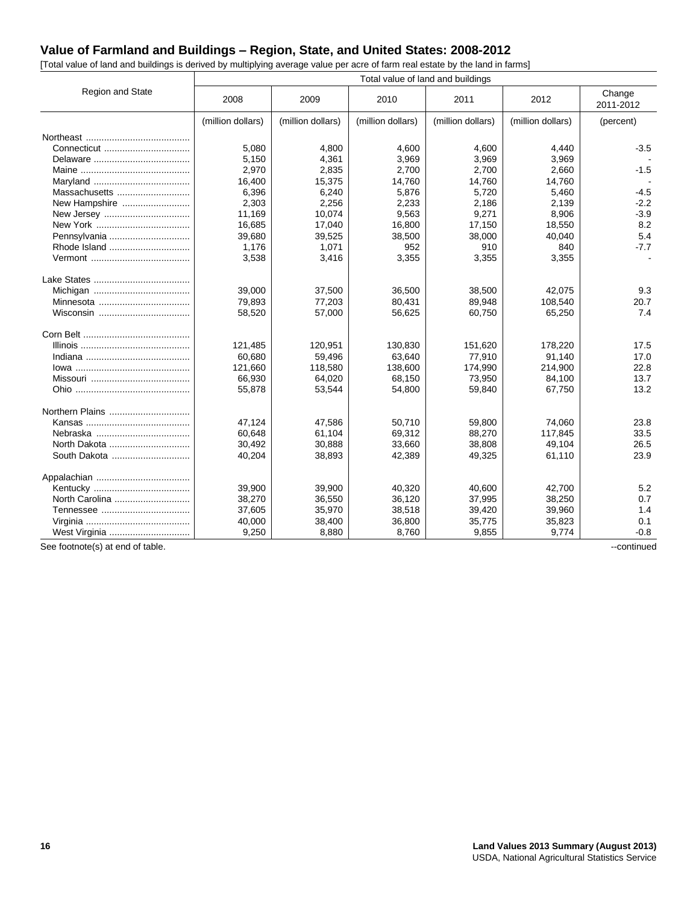#### **Value of Farmland and Buildings – Region, State, and United States: 2008-2012**

[Total value of land and buildings is derived by multiplying average value per acre of farm real estate by the land in farms]

|                  | Total value of land and buildings |                   |                   |                   |                   |                     |
|------------------|-----------------------------------|-------------------|-------------------|-------------------|-------------------|---------------------|
| Region and State | 2008                              | 2009              | 2010              | 2011              | 2012              | Change<br>2011-2012 |
|                  | (million dollars)                 | (million dollars) | (million dollars) | (million dollars) | (million dollars) | (percent)           |
|                  |                                   |                   |                   |                   |                   |                     |
|                  | 5.080                             | 4,800             | 4.600             | 4.600             | 4,440             | $-3.5$              |
|                  | 5,150                             | 4,361             | 3,969             | 3,969             | 3,969             |                     |
|                  | 2,970                             | 2,835             | 2.700             | 2,700             | 2.660             | $-1.5$              |
|                  | 16,400                            | 15,375            | 14,760            | 14,760            | 14,760            |                     |
| Massachusetts    | 6.396                             | 6,240             | 5,876             | 5.720             | 5,460             | $-4.5$              |
| New Hampshire    | 2,303                             | 2,256             | 2,233             | 2,186             | 2,139             | $-2.2$              |
| New Jersey       | 11.169                            | 10.074            | 9,563             | 9,271             | 8,906             | $-3.9$              |
|                  | 16,685                            | 17,040            | 16,800            | 17,150            | 18,550            | 8.2                 |
| Pennsylvania     | 39,680                            | 39,525            | 38,500            | 38,000            | 40.040            | 5.4                 |
| Rhode Island     | 1,176                             | 1,071             | 952               | 910               | 840               | $-7.7$              |
|                  | 3,538                             | 3,416             | 3,355             | 3,355             | 3,355             |                     |
|                  |                                   |                   |                   |                   |                   |                     |
|                  | 39,000                            | 37,500            | 36,500            | 38,500            | 42,075            | 9.3                 |
| Minnesota        | 79,893                            | 77,203            | 80,431            | 89,948            | 108,540           | 20.7                |
|                  | 58,520                            | 57,000            | 56,625            | 60,750            | 65,250            | 7.4                 |
|                  |                                   |                   |                   |                   |                   |                     |
|                  | 121,485                           | 120,951           | 130.830           | 151,620           | 178.220           | 17.5                |
|                  | 60,680                            | 59,496            | 63,640            | 77,910            | 91,140            | 17.0                |
|                  | 121,660                           | 118,580           | 138,600           | 174,990           | 214,900           | 22.8                |
|                  | 66,930                            | 64,020            | 68,150            | 73,950            | 84,100            | 13.7                |
|                  | 55,878                            | 53,544            | 54,800            | 59,840            | 67,750            | 13.2                |
| Northern Plains  |                                   |                   |                   |                   |                   |                     |
|                  | 47,124                            | 47,586            | 50,710            | 59,800            | 74,060            | 23.8                |
|                  | 60,648                            | 61,104            | 69,312            | 88,270            | 117,845           | 33.5                |
| North Dakota     | 30,492                            | 30,888            | 33,660            | 38,808            | 49,104            | 26.5                |
| South Dakota     | 40,204                            | 38,893            | 42,389            | 49,325            | 61,110            | 23.9                |
|                  |                                   |                   |                   |                   |                   |                     |
|                  | 39,900                            | 39,900            | 40,320            | 40,600            | 42,700            | 5.2                 |
| North Carolina   | 38,270                            | 36,550            | 36,120            | 37,995            | 38,250            | 0.7                 |
|                  | 37,605                            | 35,970            | 38,518            | 39,420            | 39,960            | 1.4                 |
|                  | 40,000                            | 38,400            | 36,800            | 35,775            | 35,823            | 0.1                 |
| West Virginia    | 9,250                             | 8,880             | 8,760             | 9,855             | 9,774             | $-0.8$              |

See footnote(s) at end of table. The set of table.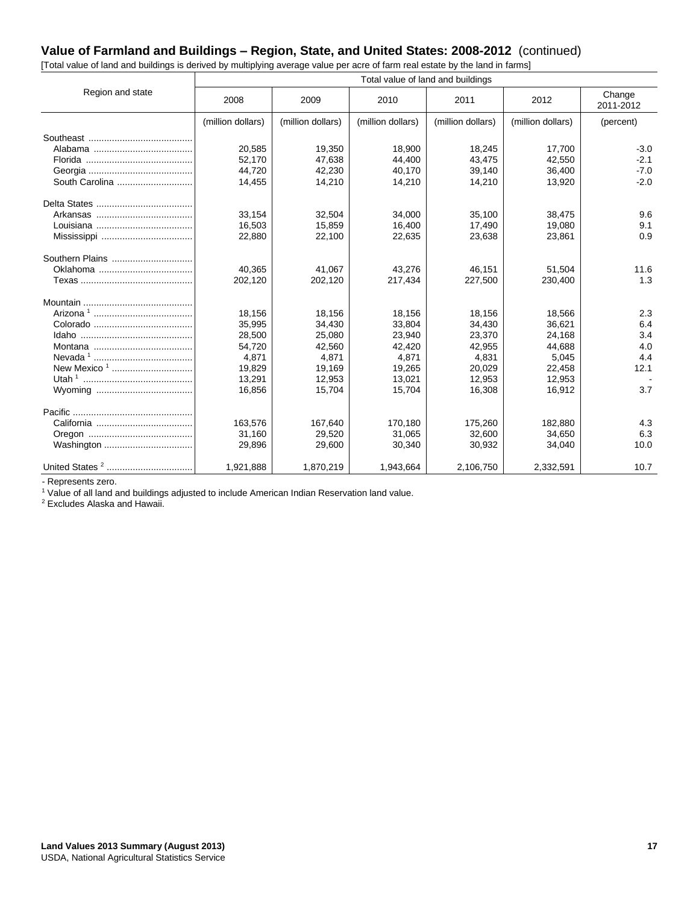## **Value of Farmland and Buildings – Region, State, and United States: 2008-2012** (continued)

[Total value of land and buildings is derived by multiplying average value per acre of farm real estate by the land in farms]

|                            | Total value of land and buildings |                   |                   |                   |                   |                     |
|----------------------------|-----------------------------------|-------------------|-------------------|-------------------|-------------------|---------------------|
| Region and state           | 2008                              | 2009              | 2010              | 2011              | 2012              | Change<br>2011-2012 |
|                            | (million dollars)                 | (million dollars) | (million dollars) | (million dollars) | (million dollars) | (percent)           |
|                            |                                   |                   |                   |                   |                   |                     |
|                            | 20,585                            | 19,350            | 18,900            | 18,245            | 17,700            | $-3.0$              |
|                            | 52,170                            | 47,638            | 44,400            | 43,475            | 42,550            | $-2.1$              |
|                            | 44,720                            | 42,230            | 40,170            | 39,140            | 36,400            | $-7.0$              |
| South Carolina             | 14,455                            | 14,210            | 14,210            | 14,210            | 13,920            | $-2.0$              |
|                            |                                   |                   |                   |                   |                   |                     |
|                            | 33,154                            | 32,504            | 34,000            | 35,100            | 38,475            | 9.6                 |
|                            | 16,503                            | 15,859            | 16,400            | 17,490            | 19,080            | 9.1                 |
|                            | 22,880                            | 22,100            | 22,635            | 23,638            | 23,861            | 0.9                 |
| Southern Plains            |                                   |                   |                   |                   |                   |                     |
|                            | 40,365                            | 41,067            | 43,276            | 46,151            | 51,504            | 11.6                |
|                            | 202,120                           | 202,120           | 217,434           | 227,500           | 230,400           | 1.3                 |
|                            |                                   |                   |                   |                   |                   |                     |
|                            | 18,156                            | 18,156            | 18,156            | 18,156            | 18,566            | 2.3                 |
|                            | 35,995                            | 34,430            | 33,804            | 34,430            | 36,621            | 6.4                 |
|                            | 28,500                            | 25,080            | 23,940            | 23,370            | 24,168            | 3.4                 |
|                            | 54,720                            | 42,560            | 42,420            | 42,955            | 44,688            | 4.0                 |
|                            | 4,871                             | 4,871             | 4,871             | 4,831             | 5,045             | 4.4                 |
|                            | 19,829                            | 19,169            | 19,265            | 20,029            | 22,458            | 12.1                |
|                            | 13,291                            | 12,953            | 13,021            | 12,953            | 12,953            |                     |
|                            | 16,856                            | 15,704            | 15,704            | 16,308            | 16,912            | 3.7                 |
|                            |                                   |                   |                   |                   |                   |                     |
|                            | 163,576                           | 167,640           | 170,180           | 175,260           | 182,880           | 4.3                 |
|                            | 31,160                            | 29,520            | 31,065            | 32,600            | 34.650            | 6.3                 |
| Washington                 | 29,896                            | 29,600            | 30,340            | 30,932            | 34,040            | 10.0                |
| United States <sup>2</sup> | 1,921,888                         | 1,870,219         | 1,943,664         | 2,106,750         | 2,332,591         | 10.7                |

- Represents zero.

<sup>1</sup> Value of all land and buildings adjusted to include American Indian Reservation land value.

<sup>2</sup> Excludes Alaska and Hawaii.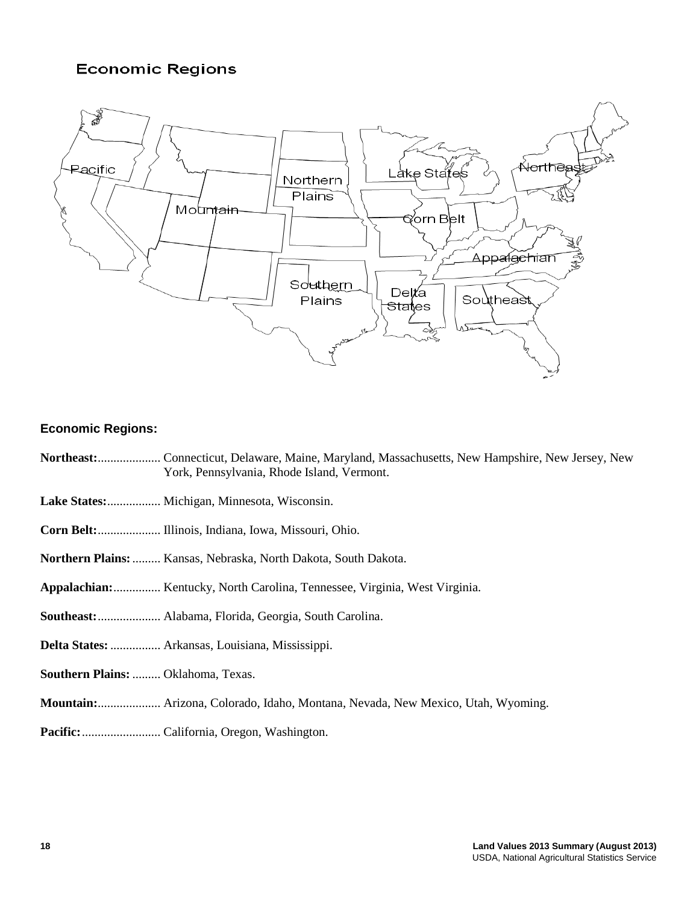## **Economic Regions**



#### **Economic Regions:**

- **Northeast:**.................... Connecticut, Delaware, Maine, Maryland, Massachusetts, New Hampshire, New Jersey, New York, Pennsylvania, Rhode Island, Vermont.
- **Lake States:**................. Michigan, Minnesota, Wisconsin.
- **Corn Belt:**.................... Illinois, Indiana, Iowa, Missouri, Ohio.
- **Northern Plains:**......... Kansas, Nebraska, North Dakota, South Dakota.
- **Appalachian:**............... Kentucky, North Carolina, Tennessee, Virginia, West Virginia.
- **Southeast:**.................... Alabama, Florida, Georgia, South Carolina.
- **Delta States:**................ Arkansas, Louisiana, Mississippi.
- **Southern Plains:** ......... Oklahoma, Texas.
- **Mountain:**.................... Arizona, Colorado, Idaho, Montana, Nevada, New Mexico, Utah, Wyoming.
- **Pacific:**......................... California, Oregon, Washington.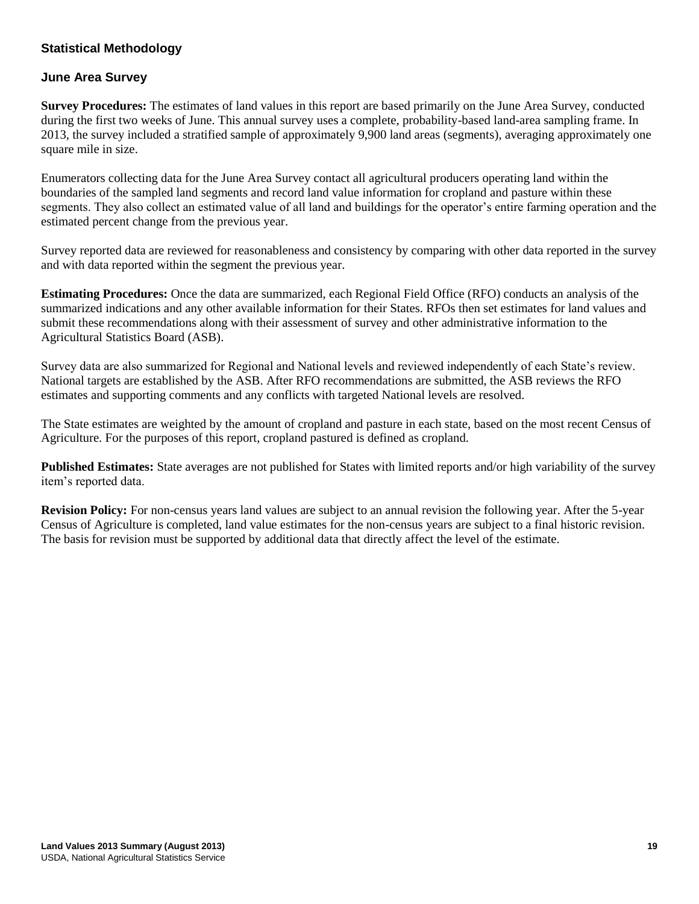## **Statistical Methodology**

#### **June Area Survey**

**Survey Procedures:** The estimates of land values in this report are based primarily on the June Area Survey, conducted during the first two weeks of June. This annual survey uses a complete, probability-based land-area sampling frame. In 2013, the survey included a stratified sample of approximately 9,900 land areas (segments), averaging approximately one square mile in size.

Enumerators collecting data for the June Area Survey contact all agricultural producers operating land within the boundaries of the sampled land segments and record land value information for cropland and pasture within these segments. They also collect an estimated value of all land and buildings for the operator's entire farming operation and the estimated percent change from the previous year.

Survey reported data are reviewed for reasonableness and consistency by comparing with other data reported in the survey and with data reported within the segment the previous year.

**Estimating Procedures:** Once the data are summarized, each Regional Field Office (RFO) conducts an analysis of the summarized indications and any other available information for their States. RFOs then set estimates for land values and submit these recommendations along with their assessment of survey and other administrative information to the Agricultural Statistics Board (ASB).

Survey data are also summarized for Regional and National levels and reviewed independently of each State's review. National targets are established by the ASB. After RFO recommendations are submitted, the ASB reviews the RFO estimates and supporting comments and any conflicts with targeted National levels are resolved.

The State estimates are weighted by the amount of cropland and pasture in each state, based on the most recent Census of Agriculture. For the purposes of this report, cropland pastured is defined as cropland.

**Published Estimates:** State averages are not published for States with limited reports and/or high variability of the survey item's reported data.

**Revision Policy:** For non-census years land values are subject to an annual revision the following year. After the 5-year Census of Agriculture is completed, land value estimates for the non-census years are subject to a final historic revision. The basis for revision must be supported by additional data that directly affect the level of the estimate.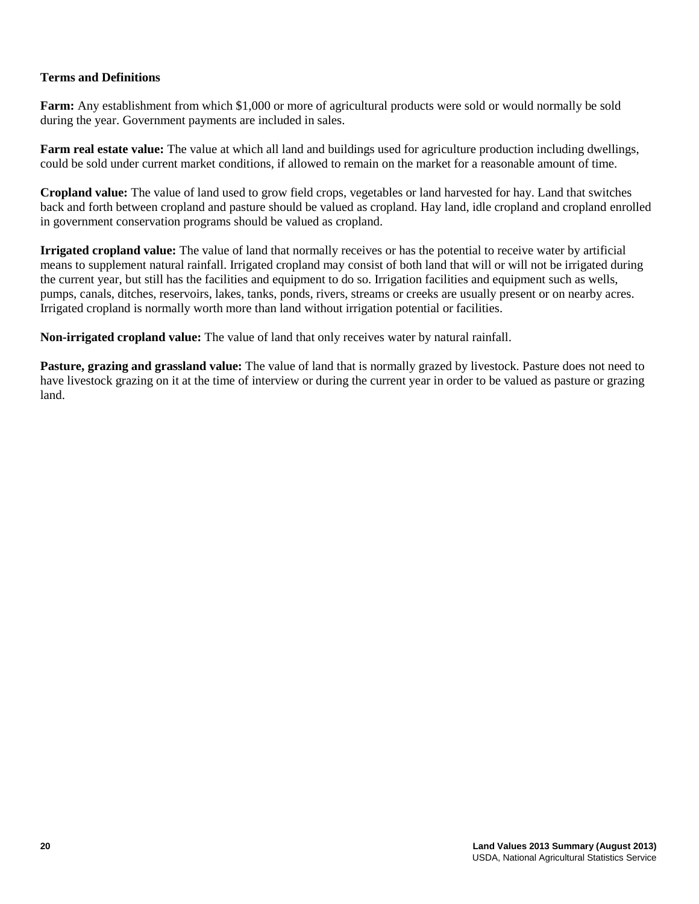#### **Terms and Definitions**

**Farm:** Any establishment from which \$1,000 or more of agricultural products were sold or would normally be sold during the year. Government payments are included in sales.

**Farm real estate value:** The value at which all land and buildings used for agriculture production including dwellings, could be sold under current market conditions, if allowed to remain on the market for a reasonable amount of time.

**Cropland value:** The value of land used to grow field crops, vegetables or land harvested for hay. Land that switches back and forth between cropland and pasture should be valued as cropland. Hay land, idle cropland and cropland enrolled in government conservation programs should be valued as cropland.

**Irrigated cropland value:** The value of land that normally receives or has the potential to receive water by artificial means to supplement natural rainfall. Irrigated cropland may consist of both land that will or will not be irrigated during the current year, but still has the facilities and equipment to do so. Irrigation facilities and equipment such as wells, pumps, canals, ditches, reservoirs, lakes, tanks, ponds, rivers, streams or creeks are usually present or on nearby acres. Irrigated cropland is normally worth more than land without irrigation potential or facilities.

**Non-irrigated cropland value:** The value of land that only receives water by natural rainfall.

**Pasture, grazing and grassland value:** The value of land that is normally grazed by livestock. Pasture does not need to have livestock grazing on it at the time of interview or during the current year in order to be valued as pasture or grazing land.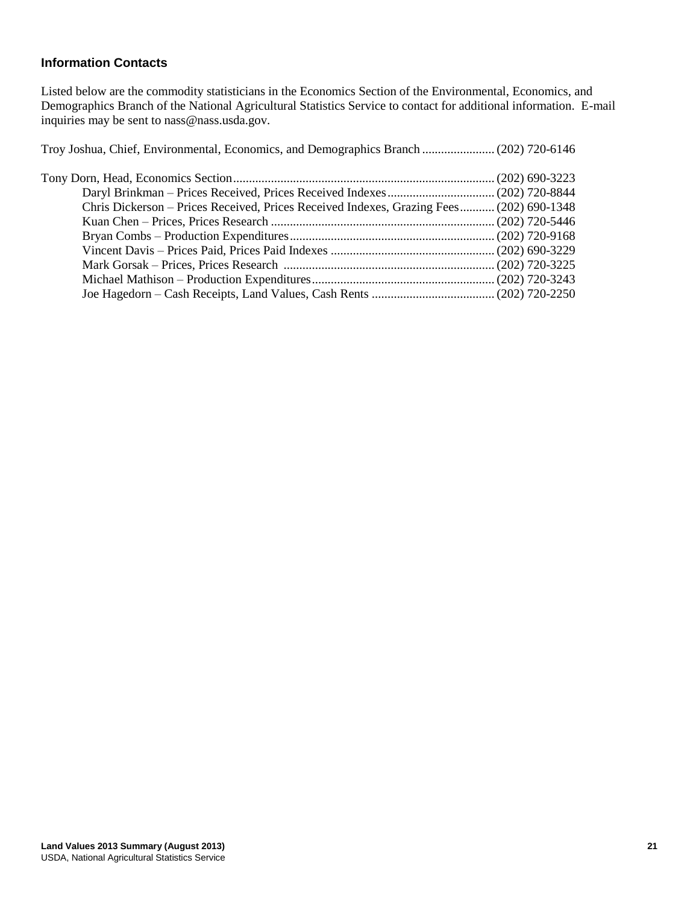#### **Information Contacts**

Listed below are the commodity statisticians in the Economics Section of the Environmental, Economics, and Demographics Branch of the National Agricultural Statistics Service to contact for additional information. E-mail inquiries may be sent to nass@nass.usda.gov.

Troy Joshua, Chief, Environmental, Economics, and Demographics Branch ....................... (202) 720-6146

| Chris Dickerson – Prices Received, Prices Received Indexes, Grazing Fees (202) 690-1348 |  |
|-----------------------------------------------------------------------------------------|--|
|                                                                                         |  |
|                                                                                         |  |
|                                                                                         |  |
|                                                                                         |  |
|                                                                                         |  |
|                                                                                         |  |
|                                                                                         |  |